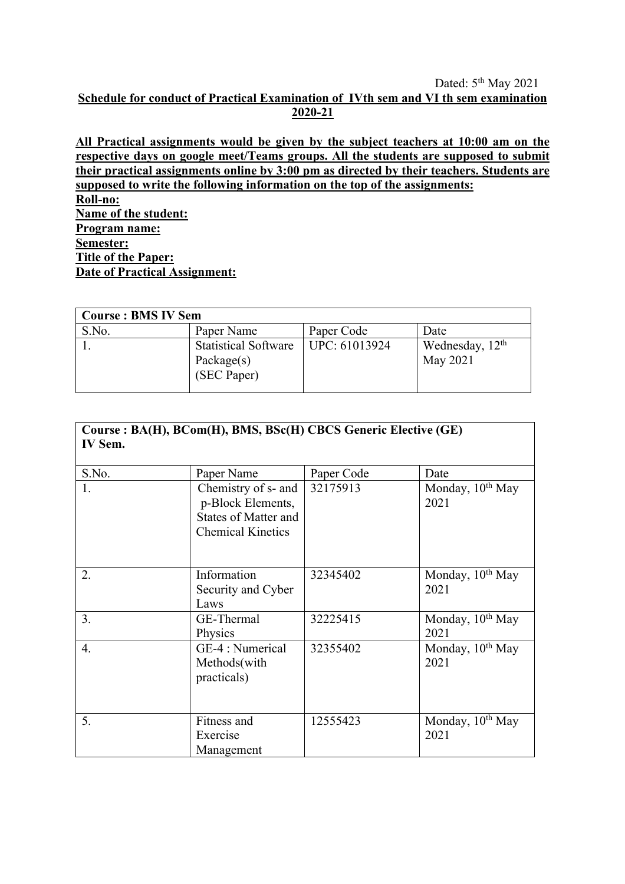## Dated: 5<sup>th</sup> May 2021

## **Schedule for conduct of Practical Examination of IVth sem and VI th sem examination 2020-21**

**All Practical assignments would be given by the subject teachers at 10:00 am on the respective days on google meet/Teams groups. All the students are supposed to submit their practical assignments online by 3:00 pm as directed by their teachers. Students are supposed to write the following information on the top of the assignments: Roll-no: Name of the student: Program name: Semester: Title of the Paper: Date of Practical Assignment:**

| <b>Course: BMS IV Sem</b> |                                                             |               |                                         |
|---------------------------|-------------------------------------------------------------|---------------|-----------------------------------------|
| S.No.                     | Paper Name                                                  | Paper Code    | Date                                    |
|                           | <b>Statistical Software</b><br>Package $(s)$<br>(SEC Paper) | UPC: 61013924 | Wednesday, 12 <sup>th</sup><br>May 2021 |

| Course: BA(H), BCom(H), BMS, BSc(H) CBCS Generic Elective (GE)<br><b>IV Sem.</b> |                                                                                                     |            |                                      |  |
|----------------------------------------------------------------------------------|-----------------------------------------------------------------------------------------------------|------------|--------------------------------------|--|
| S.No.                                                                            | Paper Name                                                                                          | Paper Code | Date                                 |  |
| 1.                                                                               | Chemistry of s- and<br>p-Block Elements,<br><b>States of Matter and</b><br><b>Chemical Kinetics</b> | 32175913   | Monday, $10^{th}$ May<br>2021        |  |
| 2.                                                                               | Information<br>Security and Cyber<br>Laws                                                           | 32345402   | Monday, 10 <sup>th</sup> May<br>2021 |  |
| 3.                                                                               | GE-Thermal<br>Physics                                                                               | 32225415   | Monday, $10^{th}$ May<br>2021        |  |
| $\overline{4}$ .                                                                 | GE-4 : Numerical<br>Methods(with<br>practicals)                                                     | 32355402   | Monday, $10^{th}$ May<br>2021        |  |
| 5.                                                                               | Fitness and<br>Exercise<br>Management                                                               | 12555423   | Monday, $10^{th}$ May<br>2021        |  |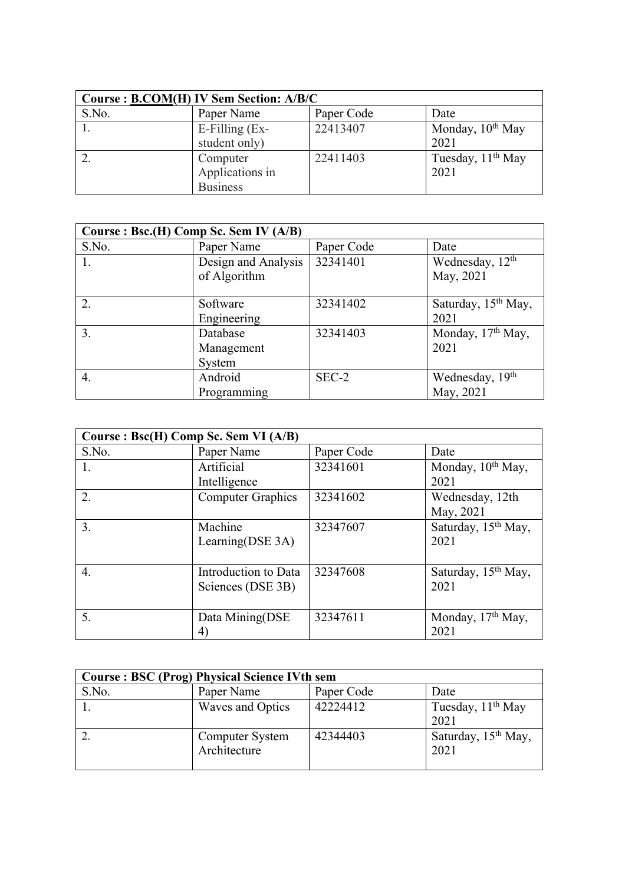| Course : B.COM(H) IV Sem Section: A/B/C |                 |            |                               |
|-----------------------------------------|-----------------|------------|-------------------------------|
| S.No.                                   | Paper Name      | Paper Code | Date                          |
|                                         | E-Filling (Ex-  | 22413407   | Monday, 10 <sup>th</sup> May  |
|                                         | student only)   |            | 2021                          |
|                                         | Computer        | 22411403   | Tuesday, 11 <sup>th</sup> May |
|                                         | Applications in |            | 2021                          |
|                                         | <b>Business</b> |            |                               |

| Course : Bsc.(H) Comp Sc. Sem IV (A/B) |                     |            |                                 |  |
|----------------------------------------|---------------------|------------|---------------------------------|--|
| S.No.                                  | Paper Name          | Paper Code | Date                            |  |
|                                        | Design and Analysis | 32341401   | Wednesday, 12 <sup>th</sup>     |  |
|                                        | of Algorithm        |            | May, 2021                       |  |
|                                        |                     |            |                                 |  |
| 2.                                     | Software            | 32341402   | Saturday, 15 <sup>th</sup> May, |  |
|                                        | Engineering         |            | 2021                            |  |
| 3.                                     | Database            | 32341403   | Monday, 17 <sup>th</sup> May,   |  |
|                                        | Management          |            | 2021                            |  |
|                                        | System              |            |                                 |  |
| 4.                                     | Android             | $SEC-2$    | Wednesday, 19th                 |  |
|                                        | Programming         |            | May, 2021                       |  |

| Course : Bsc(H) Comp Sc. Sem VI (A/B) |                                           |            |                                         |  |
|---------------------------------------|-------------------------------------------|------------|-----------------------------------------|--|
| S.No.                                 | Paper Name                                | Paper Code | Date                                    |  |
| 1.                                    | Artificial<br>Intelligence                | 32341601   | Monday, $10^{th}$ May,<br>2021          |  |
| 2.                                    | <b>Computer Graphics</b>                  | 32341602   | Wednesday, 12th<br>May, 2021            |  |
| 3.                                    | Machine<br>Learning(DSE 3A)               | 32347607   | Saturday, 15 <sup>th</sup> May,<br>2021 |  |
| 4.                                    | Introduction to Data<br>Sciences (DSE 3B) | 32347608   | Saturday, 15 <sup>th</sup> May,<br>2021 |  |
| 5.                                    | Data Mining(DSE<br>$\left( 4\right)$      | 32347611   | Monday, 17 <sup>th</sup> May,<br>2021   |  |

| <b>Course: BSC (Prog) Physical Science IVth sem</b> |                                        |            |                                         |  |
|-----------------------------------------------------|----------------------------------------|------------|-----------------------------------------|--|
| S.No.                                               | Paper Name                             | Paper Code | Date                                    |  |
|                                                     | Waves and Optics                       | 42224412   | Tuesday, 11 <sup>th</sup> May<br>2021   |  |
|                                                     | <b>Computer System</b><br>Architecture | 42344403   | Saturday, 15 <sup>th</sup> May,<br>2021 |  |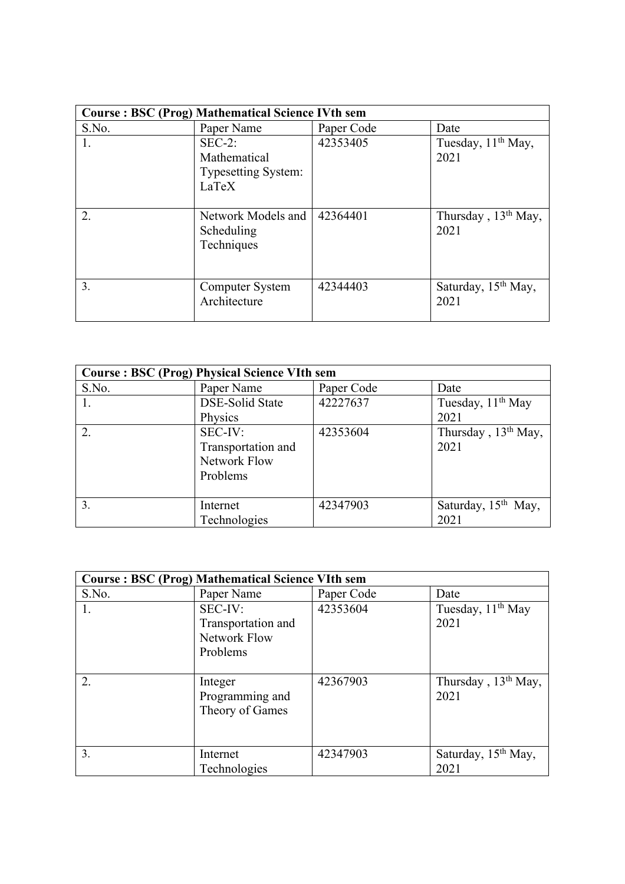|       | <b>Course: BSC (Prog) Mathematical Science IVth sem</b>         |            |                                         |  |  |
|-------|-----------------------------------------------------------------|------------|-----------------------------------------|--|--|
| S.No. | Paper Name                                                      | Paper Code | Date                                    |  |  |
| 1.    | $SEC-2:$<br>Mathematical<br><b>Typesetting System:</b><br>LaTeX | 42353405   | Tuesday, 11 <sup>th</sup> May,<br>2021  |  |  |
| 2.    | Network Models and<br>Scheduling<br>Techniques                  | 42364401   | Thursday, 13 <sup>th</sup> May,<br>2021 |  |  |
| 3.    | Computer System<br>Architecture                                 | 42344403   | Saturday, 15 <sup>th</sup> May,<br>2021 |  |  |

| <b>Course: BSC (Prog) Physical Science VIth sem</b> |                                                                  |            |                                         |
|-----------------------------------------------------|------------------------------------------------------------------|------------|-----------------------------------------|
| S.No.                                               | Paper Name                                                       | Paper Code | Date                                    |
|                                                     | <b>DSE-Solid State</b>                                           | 42227637   | Tuesday, 11 <sup>th</sup> May           |
|                                                     | Physics                                                          |            | 2021                                    |
| 2.                                                  | SEC-IV:<br>Transportation and<br><b>Network Flow</b><br>Problems | 42353604   | Thursday, 13 <sup>th</sup> May,<br>2021 |
| 3.                                                  | Internet<br>Technologies                                         | 42347903   | Saturday, 15 <sup>th</sup> May,<br>2021 |

| <b>Course: BSC (Prog) Mathematical Science VIth sem</b> |                                                                  |            |                                         |  |
|---------------------------------------------------------|------------------------------------------------------------------|------------|-----------------------------------------|--|
| S.No.                                                   | Paper Name                                                       | Paper Code | Date                                    |  |
| 1.                                                      | SEC-IV:<br>Transportation and<br><b>Network Flow</b><br>Problems | 42353604   | Tuesday, 11 <sup>th</sup> May<br>2021   |  |
| 2.                                                      | Integer<br>Programming and<br>Theory of Games                    | 42367903   | Thursday, $13th$ May,<br>2021           |  |
| 3.                                                      | Internet<br>Technologies                                         | 42347903   | Saturday, 15 <sup>th</sup> May,<br>2021 |  |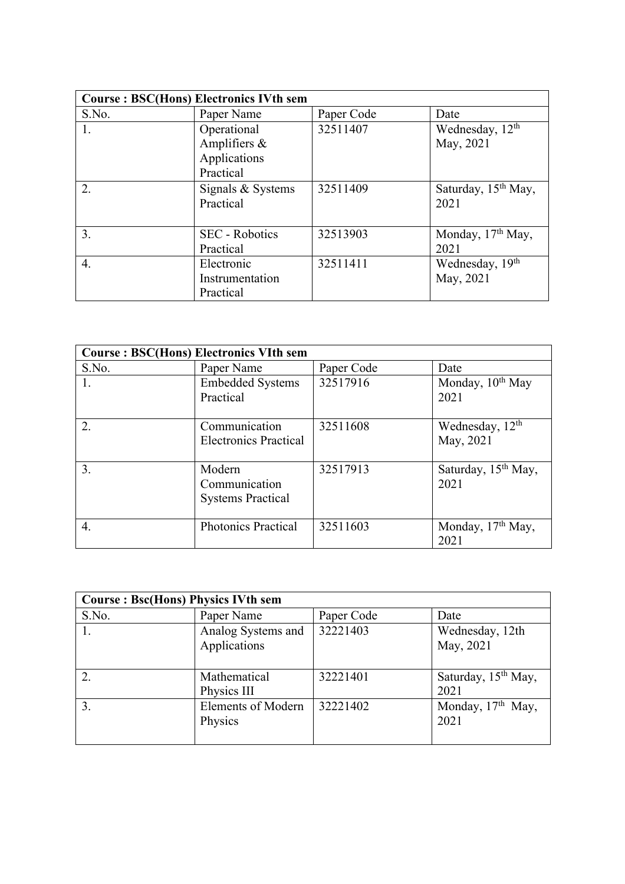| <b>Course: BSC(Hons) Electronics IVth sem</b> |                                                          |            |                                          |
|-----------------------------------------------|----------------------------------------------------------|------------|------------------------------------------|
| S.No.                                         | Paper Name                                               | Paper Code | Date                                     |
| 1.                                            | Operational<br>Amplifiers &<br>Applications<br>Practical | 32511407   | Wednesday, 12 <sup>th</sup><br>May, 2021 |
| 2.                                            | Signals & Systems<br>Practical                           | 32511409   | Saturday, 15 <sup>th</sup> May,<br>2021  |
| 3.                                            | <b>SEC</b> - Robotics<br>Practical                       | 32513903   | Monday, 17th May,<br>2021                |
| 4.                                            | Electronic<br>Instrumentation<br>Practical               | 32511411   | Wednesday, 19 <sup>th</sup><br>May, 2021 |

| <b>Course: BSC(Hons) Electronics VIth sem</b> |                                                     |            |                                          |
|-----------------------------------------------|-----------------------------------------------------|------------|------------------------------------------|
| S.No.                                         | Paper Name                                          | Paper Code | Date                                     |
| 1.                                            | <b>Embedded Systems</b><br>Practical                | 32517916   | Monday, 10 <sup>th</sup> May<br>2021     |
| 2.                                            | Communication<br><b>Electronics Practical</b>       | 32511608   | Wednesday, 12 <sup>th</sup><br>May, 2021 |
| 3.                                            | Modern<br>Communication<br><b>Systems Practical</b> | 32517913   | Saturday, 15 <sup>th</sup> May,<br>2021  |
| 4.                                            | <b>Photonics Practical</b>                          | 32511603   | Monday, 17 <sup>th</sup> May,<br>2021    |

| <b>Course: Bsc(Hons) Physics IVth sem</b> |                                      |            |                                         |  |
|-------------------------------------------|--------------------------------------|------------|-----------------------------------------|--|
| S.No.                                     | Paper Name                           | Paper Code | Date                                    |  |
|                                           | Analog Systems and<br>Applications   | 32221403   | Wednesday, 12th<br>May, 2021            |  |
| 2.                                        | Mathematical<br>Physics III          | 32221401   | Saturday, 15 <sup>th</sup> May,<br>2021 |  |
| 3.                                        | <b>Elements of Modern</b><br>Physics | 32221402   | Monday, 17 <sup>th</sup> May,<br>2021   |  |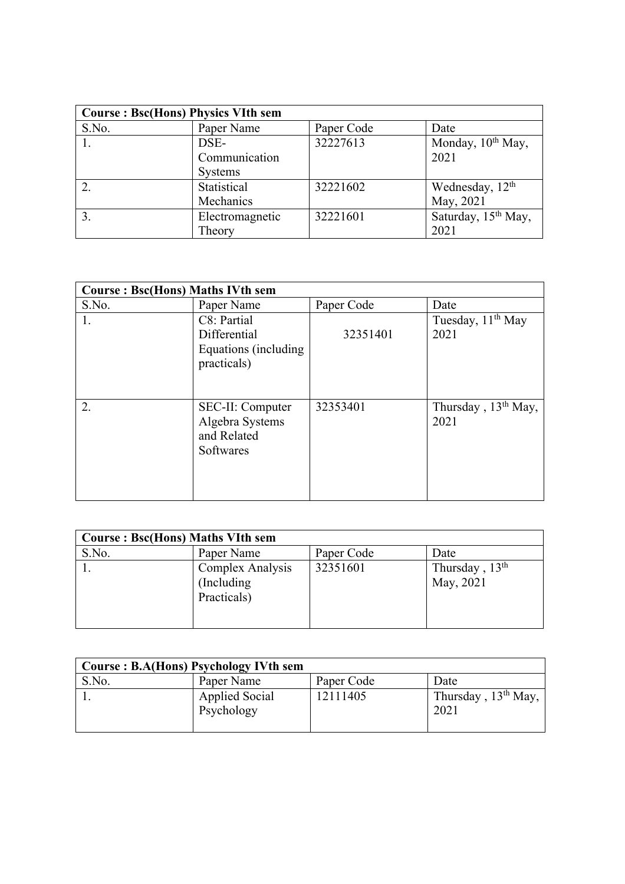| <b>Course: Bsc(Hons) Physics VIth sem</b> |                 |            |                                 |
|-------------------------------------------|-----------------|------------|---------------------------------|
| S.No.                                     | Paper Name      | Paper Code | Date                            |
|                                           | DSE-            | 32227613   | Monday, $10^{th}$ May,          |
|                                           | Communication   |            | 2021                            |
|                                           | <b>Systems</b>  |            |                                 |
|                                           | Statistical     | 32221602   | Wednesday, 12 <sup>th</sup>     |
|                                           | Mechanics       |            | May, 2021                       |
|                                           | Electromagnetic | 32221601   | Saturday, 15 <sup>th</sup> May, |
|                                           | Theory          |            | 2021                            |

| <b>Course: Bsc(Hons) Maths IVth sem</b> |                                                                     |            |                                         |
|-----------------------------------------|---------------------------------------------------------------------|------------|-----------------------------------------|
| S.No.                                   | Paper Name                                                          | Paper Code | Date                                    |
| 1.                                      | C8: Partial<br>Differential<br>Equations (including)<br>practicals) | 32351401   | Tuesday, 11 <sup>th</sup> May<br>2021   |
| 2.                                      | SEC-II: Computer<br>Algebra Systems<br>and Related<br>Softwares     | 32353401   | Thursday, 13 <sup>th</sup> May,<br>2021 |

| <b>Course: Bsc(Hons) Maths VIth sem</b> |                                                |            |                               |
|-----------------------------------------|------------------------------------------------|------------|-------------------------------|
| S.No.                                   | Paper Name                                     | Paper Code | Date                          |
|                                         | Complex Analysis<br>(Including)<br>Practicals) | 32351601   | Thursday, $13th$<br>May, 2021 |

| <b>Course: B.A(Hons) Psychology IVth sem</b> |                                     |            |                                         |
|----------------------------------------------|-------------------------------------|------------|-----------------------------------------|
| S.No.                                        | Paper Name                          | Paper Code | Date                                    |
|                                              | <b>Applied Social</b><br>Psychology | 12111405   | Thursday, 13 <sup>th</sup> May,<br>2021 |